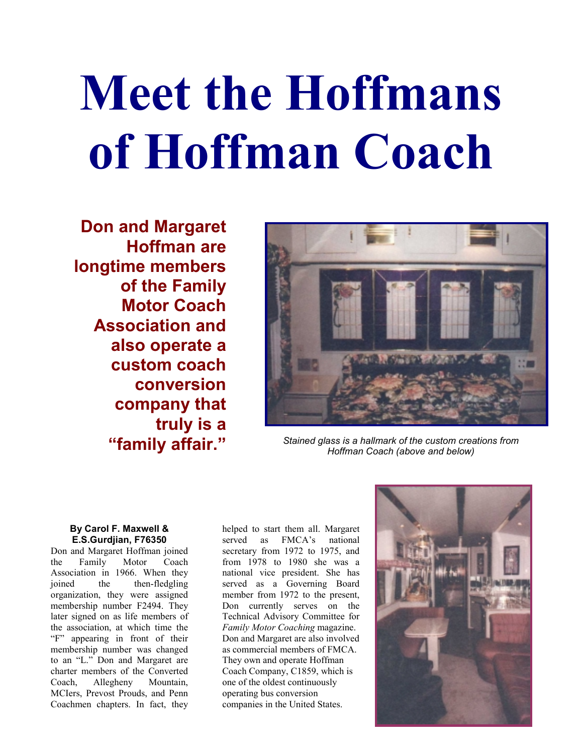## **Meet the Hoffmans of Hoffman Coach**

**Don and Margaret Hoffman are longtime members of the Family Motor Coach Association and also operate a custom coach conversion company that truly is a**



**"family affair."** *Stained glass is a hallmark of the custom creations from Hoffman Coach (above and below)*

## **By Carol F. Maxwell & E.S.Gurdjian, F76350**

Don and Margaret Hoffman joined the Family Motor Coach Association in 1966. When they joined the then-fledgling organization, they were assigned membership number F2494. They later signed on as life members of the association, at which time the "F" appearing in front of their membership number was changed to an "L." Don and Margaret are charter members of the Converted Coach, Allegheny Mountain, MCIers, Prevost Prouds, and Penn Coachmen chapters. In fact, they

helped to start them all. Margaret served as FMCA's national secretary from 1972 to 1975, and from 1978 to 1980 she was a national vice president. She has served as a Governing Board member from 1972 to the present, Don currently serves on the Technical Advisory Committee for *Family Motor Coaching* magazine. Don and Margaret are also involved as commercial members of FMCA. They own and operate Hoffman Coach Company, C1859, which is one of the oldest continuously operating bus conversion companies in the United States.

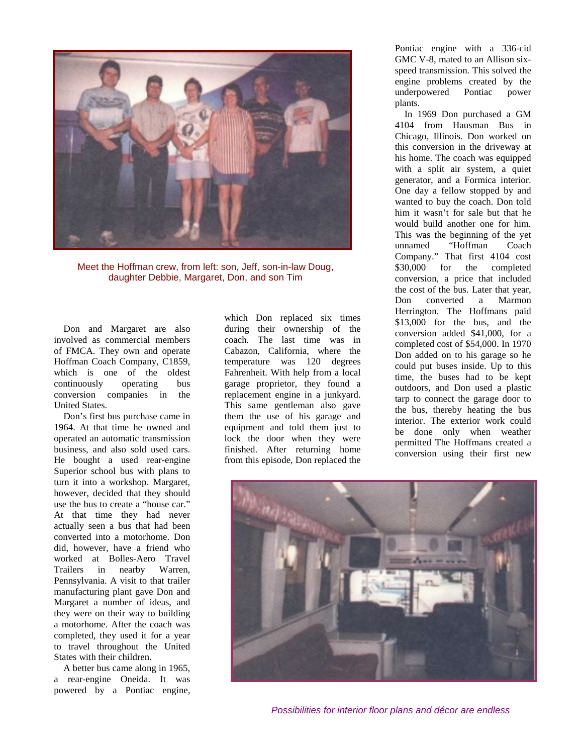

Meet the Hoffman crew, from left: son, Jeff, son-in-law Doug, daughter Debbie, Margaret, Don, and son Tim

Don and Margaret are also involved as commercial members of FMCA. They own and operate Hoffman Coach Company, C1859, which is one of the oldest continuously operating bus conversion companies in the United States.

Don's first bus purchase came in 1964. At that time he owned and operated an automatic transmission business, and also sold used cars. He bought a used rear-engine Superior school bus with plans to turn it into a workshop. Margaret, however, decided that they should use the bus to create a "house car." At that time they had never actually seen a bus that had been converted into a motorhome. Don did, however, have a friend who worked at Bolles-Aero Travel Trailers in nearby Warren, Pennsylvania. A visit to that trailer manufacturing plant gave Don and Margaret a number of ideas, and they were on their way to building a motorhome. After the coach was completed, they used it for a year to travel throughout the United States with their children.

A better bus came along in 1965, a rear-engine Oneida. It was powered by a Pontiac engine,

which Don replaced six times during their ownership of the coach. The last time was in Cabazon, California, where the temperature was 120 degrees Fahrenheit. With help from a local garage proprietor, they found a replacement engine in a junkyard. This same gentleman also gave them the use of his garage and equipment and told them just to lock the door when they were finished. After returning home from this episode, Don replaced the

Pontiac engine with a 336-cid GMC V-8, mated to an Allison sixspeed transmission. This solved the engine problems created by the underpowered Pontiac power plants.

In 1969 Don purchased a GM 4104 from Hausman Bus in Chicago, Illinois. Don worked on this conversion in the driveway at his home. The coach was equipped with a split air system, a quiet generator, and a Formica interior. One day a fellow stopped by and wanted to buy the coach. Don told him it wasn't for sale but that he would build another one for him. This was the beginning of the yet unnamed "Hoffman Coach Company." That first 4104 cost \$30,000 for the completed conversion, a price that included the cost of the bus. Later that year, Don converted a Marmon Herrington. The Hoffmans paid \$13,000 for the bus, and the conversion added \$41,000, for a completed cost of \$54,000. In 1970 Don added on to his garage so he could put buses inside. Up to this time, the buses had to be kept outdoors, and Don used a plastic tarp to connect the garage door to the bus, thereby heating the bus interior. The exterior work could be done only when weather permitted The Hoffmans created a conversion using their first new



*Possibilities for interior floor plans and décor are endless*